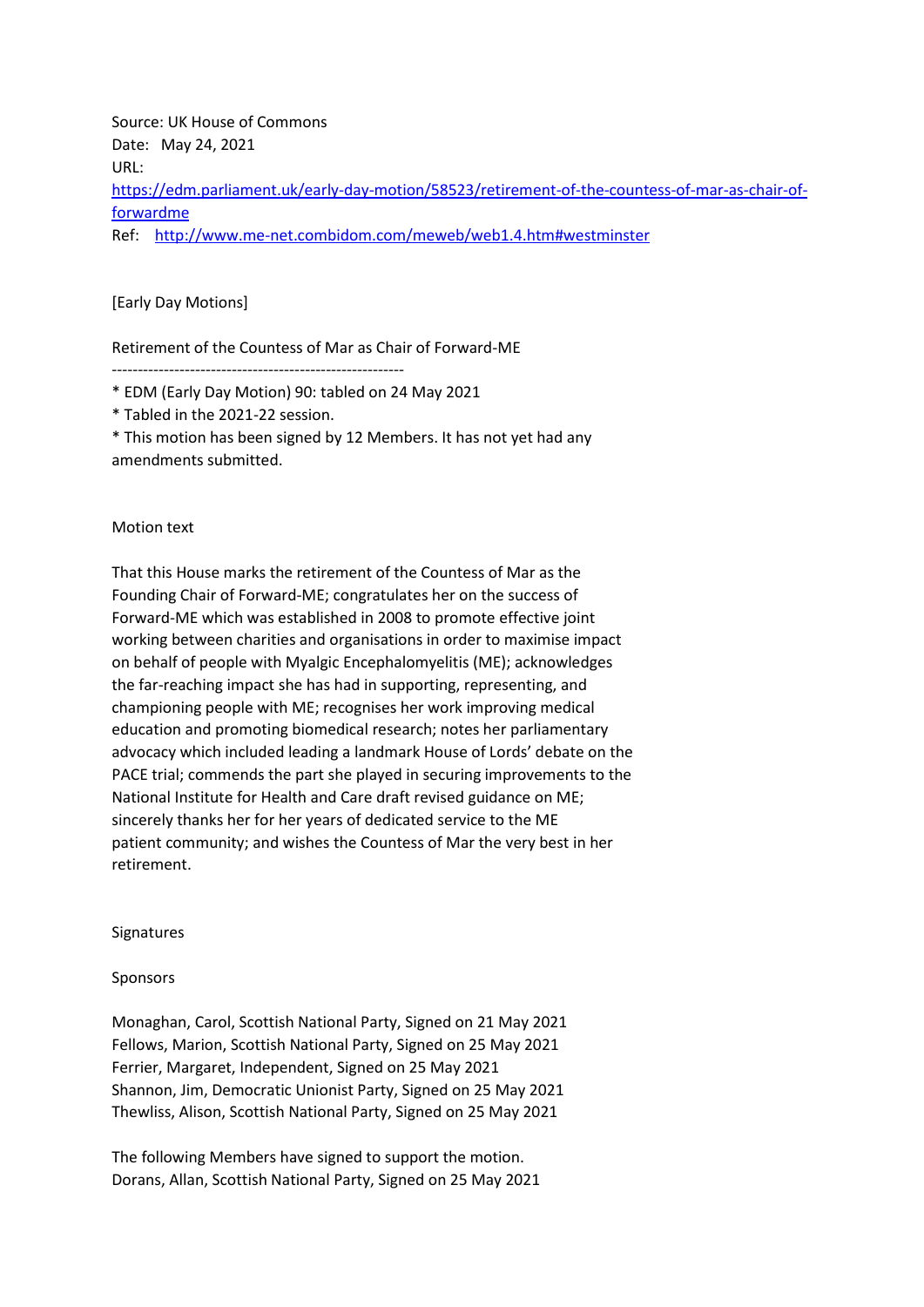Source: UK House of Commons Date: May 24, 2021 URL: [https://edm.parliament.uk/early-day-motion/58523/retirement-of-the-countess-of-mar-as-chair-of](https://edm.parliament.uk/early-day-motion/58523/retirement-of-the-countess-of-mar-as-chair-of-forwardme)[forwardme](https://edm.parliament.uk/early-day-motion/58523/retirement-of-the-countess-of-mar-as-chair-of-forwardme) Ref: <http://www.me-net.combidom.com/meweb/web1.4.htm#westminster>

## [Early Day Motions]

Retirement of the Countess of Mar as Chair of Forward-ME

--------------------------------------------------------

\* EDM (Early Day Motion) 90: tabled on 24 May 2021

\* Tabled in the 2021-22 session.

\* This motion has been signed by 12 Members. It has not yet had any amendments submitted.

## Motion text

That this House marks the retirement of the Countess of Mar as the Founding Chair of Forward-ME; congratulates her on the success of Forward-ME which was established in 2008 to promote effective joint working between charities and organisations in order to maximise impact on behalf of people with Myalgic Encephalomyelitis (ME); acknowledges the far-reaching impact she has had in supporting, representing, and championing people with ME; recognises her work improving medical education and promoting biomedical research; notes her parliamentary advocacy which included leading a landmark House of Lords' debate on the PACE trial; commends the part she played in securing improvements to the National Institute for Health and Care draft revised guidance on ME; sincerely thanks her for her years of dedicated service to the ME patient community; and wishes the Countess of Mar the very best in her retirement.

## Signatures

## Sponsors

Monaghan, Carol, Scottish National Party, Signed on 21 May 2021 Fellows, Marion, Scottish National Party, Signed on 25 May 2021 Ferrier, Margaret, Independent, Signed on 25 May 2021 Shannon, Jim, Democratic Unionist Party, Signed on 25 May 2021 Thewliss, Alison, Scottish National Party, Signed on 25 May 2021

The following Members have signed to support the motion. Dorans, Allan, Scottish National Party, Signed on 25 May 2021